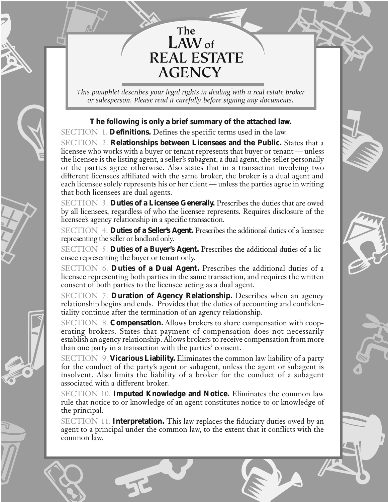# EXAMPLE The LAW of REAL ESTATE  **The LAWof REAL ESTATE AGENCY**

*. This pamphlet describes your legal rights in dealing with a real estate broker or salesperson. Please read it carefully before signing any documents.*

# **The following is only a brief summary of the attached law.**

SECTION 1. **Definitions.** Defines the specific terms used in the law.

**Signal** 

∞

**ATHER** 

™

**BERT** 

<¡SECTION 2. **Relationships between Licensees and the Public.** States that a licensee who works with a buyer or tenant represents that buyer or tenant — unless the licensee is the listing agent, a seller's subagent, a dual agent, the seller personally or the parties agree otherwise. Also states that in a transaction involving two different licensees affiliated with the same broker, the broker is a dual agent and each licensee solely represents his or her client — unless the parties agree in writing that both licensees are dual agents.

> SECTION 3. **Duties of a Licensee Generally.** Prescribes the duties that are owed by all licensees, regardless of who the licensee represents. Requires disclosure of the licensee's agency relationship in a specific transaction.

> SECTION 4. **Duties of a Seller's Agent.** Prescribes the additional duties of a licensee representing the seller or landlord only.

> SECTION 5. **Duties of a Buyer's Agent.** Prescribes the additional duties of a licensee representing the buyer or tenant only.

> SECTION 6. **Duties of a Dual Agent.** Prescribes the additional duties of a licensee representing both parties in the same transaction, and requires the written consent of both parties to the licensee acting as a dual agent.

> SECTION 7. **Duration of Agency Relationship.** Describes when an agency relationship begins and ends. Provides that the duties of accounting and confidentiality continue after the termination of an agency relationship.

relations in the contract of the contract of the contract of the contract of the contract of the contract of the contract of the contract of the contract of the contract of the contract of the contract of the contract of t SECTION 8. **Compensation.** Allows brokers to share compensation with cooperating brokers. States that payment of compensation does not necessarily establish an agency relationship. Allows brokers to receive compensation from more than one party in a transaction with the parties' consent.

og C

€

ARY

SECTION 9. **Vicarious Liability.** Eliminates the common law liability of a party for the conduct of the party's agent or subagent, unless the agent or subagent is insolvent. Also limits the liability of a broker for the conduct of a subagent associated with a different broker.

SECTION 10. **Imputed Knowledge and Notice.** Eliminates the common law rule that notice to or knowledge of an agent constitutes notice to or knowledge of the principal.

an de la Carte de la Carte de la Carte de la Carte de la Carte de la Carte de la Carte de la Carte de la Carte de la Carte de la Carte de la Carte de la Carte de la Carte de la Carte de la Carte de la Carte de la Carte de  $\overline{\mathbf{r}}$ SECTION 11. **Interpretation.** This law replaces the fiduciary duties owed by an agent to a principal under the common law, to the extent that it conflicts with the common law.

EN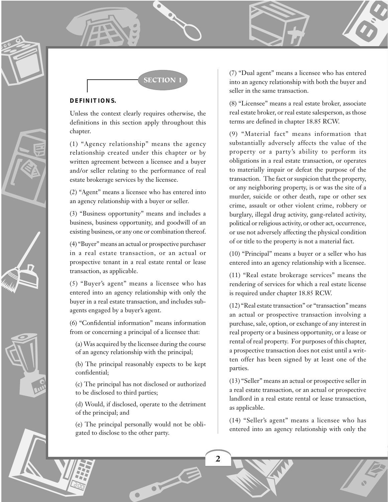

**SECTION** 

# **DEFINITIONS.**

Unless the context clearly requires otherwise, the definitions in this section apply throughout this chapter.

(1) "Agency relationship" means the agency relationship created under this chapter or by written agreement between a licensee and a buyer and/or seller relating to the performance of real estate brokerage services by the licensee.

(2) "Agent" means a licensee who has entered into an agency relationship with a buyer or seller.

(3) "Business opportunity" means and includes a business, business opportunity, and goodwill of an existing business, or any one or combination thereof.

(4) "Buyer" means an actual or prospective purchaser in a real estate transaction, or an actual or prospective tenant in a real estate rental or lease transaction, as applicable.

(5) "Buyer's agent" means a licensee who has entered into an agency relationship with only the buyer in a real estate transaction, and includes subagents engaged by a buyer's agent.

(6) "Confidential information" means information from or concerning a principal of a licensee that:

(a) Was acquired by the licensee during the course of an agency relationship with the principal;

(b) The principal reasonably expects to be kept confidential;

(c) The principal has not disclosed or authorized to be disclosed to third parties;

(d) Would, if disclosed, operate to the detriment of the principal; and

M (e) The principal personally would not be obligated to disclose to the other party.

ord of the contract of

(7) "Dual agent" means a licensee who has entered into an agency relationship with both the buyer and seller in the same transaction.

THE STRIKE

(8) "Licensee" means a real estate broker, associate real estate broker, or real estate salesperson, as those terms are defined in chapter 18.85 RCW.

(9) "Material fact" means information that substantially adversely affects the value of the property or a party's ability to perform its obligations in a real estate transaction, or operates to materially impair or defeat the purpose of the transaction. The fact or suspicion that the property, or any neighboring property, is or was the site of a murder, suicide or other death, rape or other sex crime, assault or other violent crime, robbery or burglary, illegal drug activity, gang-related activity, political or religious activity, or other act, occurrence, or use not adversely affecting the physical condition of or title to the property is not a material fact.

(10) "Principal" means a buyer or a seller who has entered into an agency relationship with a licensee.

(11) "Real estate brokerage services" means the rendering of services for which a real estate license is required under chapter 18.85 RCW.

(12) "Real estate transaction" or "transaction" means an actual or prospective transaction involving a purchase, sale, option, or exchange of any interest in real property or a business opportunity, or a lease or rental of real property. For purposes of this chapter, a prospective transaction does not exist until a written offer has been signed by at least one of the parties.

(13) "Seller" means an actual or prospective seller in a real estate transaction, or an actual or prospective landlord in a real estate rental or lease transaction, as applicable.

entered into an agency relat (14) "Seller's agent" means a licensee who has entered into an agency relationship with only the

**. 1979** 

**2**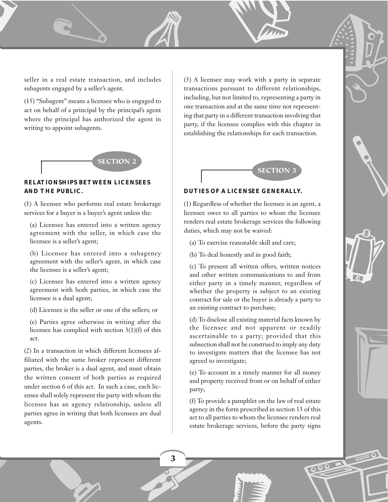seller in a real estate transaction, and includes subagents engaged by a seller's agent.

 $\mathbb{A}$ 

[

r,

,

(15) "Subagent" means a licensee who is engaged to act on behalf of a principal by the principal's agent where the principal has authorized the agent in writing to appoint subagents.



# **RELATIONSHIPS BETWEEN LICENSEES AND THE PUBLIC.**

(1) A licensee who performs real estate brokerage services for a buyer is a buyer's agent unless the:

(a) Licensee has entered into a written agency agreement with the seller, in which case the licensee is a seller's agent;

(b) Licensee has entered into a subagency agreement with the seller's agent, in which case the licensee is a seller's agent;

(c) Licensee has entered into a written agency agreement with both parties, in which case the licensee is a dual agent;

(d) Licensee is the seller or one of the sellers; or

(e) Parties agree otherwise in writing after the licensee has complied with section 3(1)(f) of this act.

(2) In a transaction in which different licensees affiliated with the same broker represent different parties, the broker is a dual agent, and must obtain the written consent of both parties as required under section 6 of this act. In such a case, each licensee shall solely represent the party with whom the licensee has an agency relationship, unless all parties agree in writing that both licensees are dual agents.

+

T

.<br>.<br>.

.<br>.<br>.

Trate (B) (3) A licensee may work with a party in separate transactions pursuant to different relationships, including, but not limited to, representing a party in one transaction and at the same time not representing that party in a different transaction involving that party, if the licensee complies with this chapter in establishing the relationships for each transaction.

EN 1872



## **DUTIES OF A LICENSEE GENERALLY.**

(1) Regardless of whether the licensee is an agent, a licensee owes to all parties to whom the licensee renders real estate brokerage services the following duties, which may not be waived:

- (a) To exercise reasonable skill and care;
- (b) To deal honestly and in good faith;

(c) To present all written offers, written notices and other written communications to and from either party in a timely manner, regardless of whether the property is subject to an existing contract for sale or the buyer is already a party to an existing contract to purchase;

(d) To disclose all existing material facts known by the licensee and not apparent or readily ascertainable to a party; provided that this subsection shall not be construed to imply any duty to investigate matters that the licensee has not agreed to investigate;

(e) To account in a timely manner for all money and property received from or on behalf of either party;

estate brokera (f) To provide a pamphlet on the law of real estate agency in the form prescribed in section 13 of this act to all parties to whom the licensee renders real estate brokerage services, before the party signs

**- 1975** 



**Contract Contract Contract Contract Contract Contract Contract Contract Contract Contract Contract Contract C** 



**POOLS** 

**3**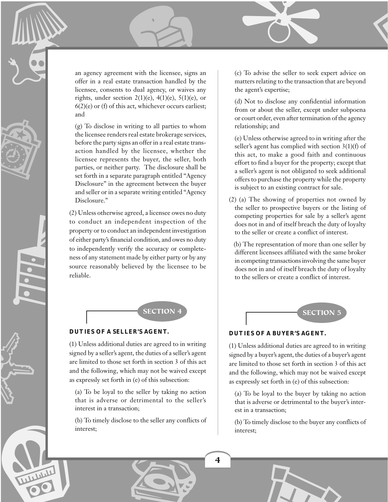an agency agreement with the licensee, signs an (c) To advise the seller to seek express of the seller in a real estate transaction handled by the an agency agreement with the licensee, signs an offer in a real estate transaction handled by the licensee, consents to dual agency, or waives any rights, under section  $2(1)(e)$ ,  $4(1)(e)$ ,  $5(1)(e)$ , or  $6(2)$ (e) or (f) of this act, whichever occurs earliest; and

3

(g) To disclose in writing to all parties to whom the licensee renders real estate brokerage services, before the party signs an offer in a real estate transaction handled by the licensee, whether the licensee represents the buyer, the seller, both parties, or neither party. The disclosure shall be set forth in a separate paragraph entitled "Agency Disclosure" in the agreement between the buyer and seller or in a separate writing entitled "Agency Disclosure."

**1953** 

المناسب الماضي

(2) Unless ot<br>to conduct<br>property or t<br>of either part<br>to independences of any st<br>source reaso<br>reliable. (2) Unless otherwise agreed, a licensee owes no duty to conduct an independent inspection of the property or to conduct an independent investigation of either party's financial condition, and owes no duty to independently verify the accuracy or completeness of any statement made by either party or by any source reasonably believed by the licensee to be reliable.

## **DUTIES OF A SELLER'S AGENT.**

(1) Unless additional duties are agreed to in writing signed by a seller's agent, the duties of a seller's agent are limited to those set forth in section 3 of this act and the following, which may not be waived except as expressly set forth in (e) of this subsection:

(a) To be loyal to the seller by taking no action that is adverse or detrimental to the seller's interest in a transaction;

Report Follows (b) To timely disclose to the seller any conflicts of interest;

Z

**4**

(c) To advise the seller to seek expert advice on matters relating to the transaction that are beyond the agent's expertise;

V

(d) Not to disclose any confidential information from or about the seller, except under subpoena or court order, even after termination of the agency relationship; and

(e) Unless otherwise agreed to in writing after the seller's agent has complied with section 3(1)(f) of this act, to make a good faith and continuous effort to find a buyer for the property; except that a seller's agent is not obligated to seek additional offers to purchase the property while the property is subject to an existing contract for sale.

(2) (a) The showing of properties not owned by the seller to prospective buyers or the listing of competing properties for sale by a seller's agent does not in and of itself breach the duty of loyalty to the seller or create a conflict of interest.

 (b) The representation of more than one seller by different licensees affiliated with the same broker in competing transactions involving the same buyer does not in and of itself breach the duty of loyalty to the sellers or create a conflict of interest.



# **DUTIES OF A BUYER'S AGENT.**

(1) Unless additional duties are agreed to in writing signed by a buyer's agent, the duties of a buyer's agent are limited to those set forth in section 3 of this act and the following, which may not be waived except as expressly set forth in (e) of this subsection:

(a) To be loyal to the buyer by taking no action that is adverse or detrimental to the buyer's interest in a transaction;

(b) To timely disclose to the buyer any conflicts of interest;

For the set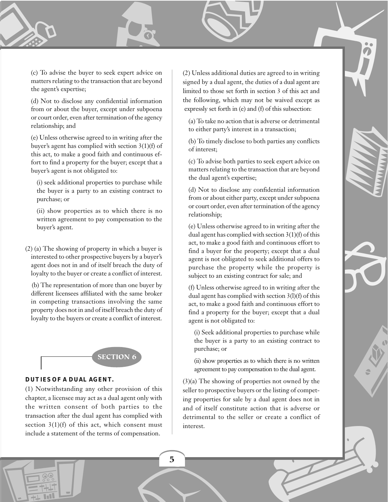(c) To advise the buyer to seek expert advice on matters relating to the transaction that are beyond the agent's expertise;

D

De

(d) Not to disclose any confidential information from or about the buyer, except under subpoena or court order, even after termination of the agency relationship; and

(e) Unless otherwise agreed to in writing after the buyer's agent has complied with section 3(1)(f) of this act, to make a good faith and continuous effort to find a property for the buyer; except that a buyer's agent is not obligated to:

(i) seek additional properties to purchase while the buyer is a party to an existing contract to purchase; or

(ii) show properties as to which there is no written agreement to pay compensation to the buyer's agent.

(2) (a) The showing of property in which a buyer is interested to other prospective buyers by a buyer's agent does not in and of itself breach the duty of loyalty to the buyer or create a conflict of interest.

 (b) The representation of more than one buyer by different licensees affiliated with the same broker in competing transactions involving the same property does not in and of itself breach the duty of loyalty to the buyers or create a conflict of interest.



# **DUTIES OF A DUAL AGENT.**

 $\sqrt{\frac{1.28}{1.74 \text{ Hz}}}$ 

(1) Notwithstanding any other provision of this chapter, a licensee may act as a dual agent only with the written consent of both parties to the transaction after the dual agent has complied with section  $3(1)(f)$  of this act, which consent must include a statement of the terms of compensation.

For Seek expert advice on<br>
ansaction that are beyond<br>
limited to those set forth in section 3 of this act and (2) Unless additional duties are agreed to in writing signed by a dual agent, the duties of a dual agent are limited to those set forth in section 3 of this act and the following, which may not be waived except as expressly set forth in (e) and (f) of this subsection:

9

(a) To take no action that is adverse or detrimental to either party's interest in a transaction;

(b) To timely disclose to both parties any conflicts of interest;

(c) To advise both parties to seek expert advice on matters relating to the transaction that are beyond the dual agent's expertise;

(d) Not to disclose any confidential information from or about either party, except under subpoena or court order, even after termination of the agency relationship;

(e) Unless otherwise agreed to in writing after the dual agent has complied with section 3(1)(f) of this act, to make a good faith and continuous effort to find a buyer for the property; except that a dual agent is not obligated to seek additional offers to purchase the property while the property is subject to an existing contract for sale; and

(f) Unless otherwise agreed to in writing after the dual agent has complied with section 3(l)(f) of this act, to make a good faith and continuous effort to find a property for the buyer; except that a dual agent is not obligated to:

(i) Seek additional properties to purchase while the buyer is a party to an existing contract to purchase; or

(ii) show properties as to which there is no written agreement to pay compensation to the dual agent.

.

3

{

Freeate a conflict of (3)(a) The showing of properties not owned by the seller to prospective buyers or the listing of competing properties for sale by a dual agent does not in and of itself constitute action that is adverse or detrimental to the seller or create a conflict of interest.

q

**5**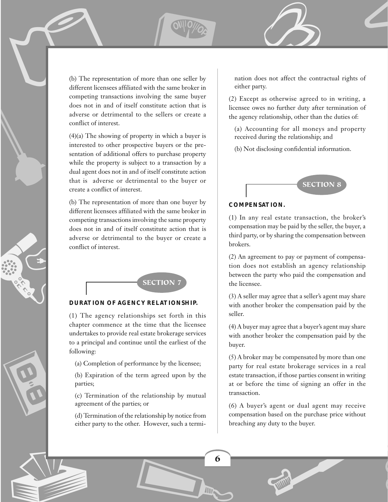ERIC RESIDENCE l ,

a

 $f(x) = \frac{\text{SVD}(x)}{x^2}$ (b) The representation of more than one seller by<br>
(b) The representation of more than one seller by<br>
different licensees affiliated with the same broker in<br>
competing transactions involving the same buyer<br>
does not in and (b) The representation of more than one seller by different licensees affiliated with the same broker in competing transactions involving the same buyer does not in and of itself constitute action that is adverse or detrimental to the sellers or create a conflict of interest.

> (4)(a) The showing of property in which a buyer is interested to other prospective buyers or the presentation of additional offers to purchase property while the property is subject to a transaction by a dual agent does not in and of itself constitute action that is adverse or detrimental to the buyer or create a conflict of interest.

> (b) The representation of more than one buyer by different licensees affiliated with the same broker in competing transactions involving the same property does not in and of itself constitute action that is adverse or detrimental to the buyer or create a conflict of interest.



# **DURATION OF AGENCY RELATIONSHIP.**

(1) The agency relationships set forth in this chapter commence at the time that the licensee undertakes to provide real estate brokerage services to a principal and continue until the earliest of the following:

(a) Completion of performance by the licensee;

(b) Expiration of the term agreed upon by the parties;

(c) Termination of the relationship by mutual agreement of the parties; or

(d) Termination of the relationship by notice from either party to the other. However, such a termination does not affect the contractual rights of either party.

 $\overline{\phantom{a}}$ 

 $\overline{\phantom{a}}$ 

(2) Except as otherwise agreed to in writing, a licensee owes no further duty after termination of the agency relationship, other than the duties of:

(a) Accounting for all moneys and property received during the relationship; and

(b) Not disclosing confidential information.



#### **COMPENSATION.**

(1) In any real estate transaction, the broker's compensation may be paid by the seller, the buyer, a third party, or by sharing the compensation between brokers.

(2) An agreement to pay or payment of compensation does not establish an agency relationship between the party who paid the compensation and the licensee.

(3) A seller may agree that a seller's agent may share with another broker the compensation paid by the seller.

(4) A buyer may agree that a buyer's agent may share with another broker the compensation paid by the buyer.

(5) A broker may be compensated by more than one party for real estate brokerage services in a real estate transaction, if those parties consent in writing at or before the time of signing an offer in the transaction.

(6) A buyer's agent or dual agent may receive compensation based on the purchase price without breaching any duty to the buyer.

**Communications** 

 $\overline{\phantom{a}}$ 

De la Carte de la Carte de la Carte de la Carte de la Carte de la Carte de la Carte de la Carte de la Carte de **1990 - 1990 - 1990 - 1990 - 1990 - 1990 - 1990 - 1990 - 1990 - 1990 - 1990 - 1990 - 1990 - 1990 - 1990 - 1990 6**